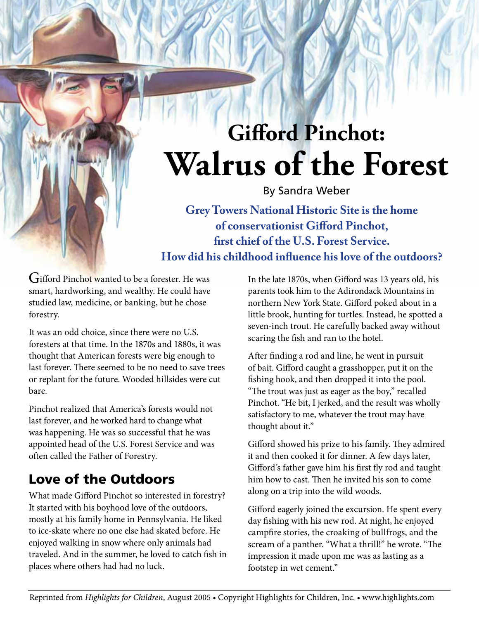# **Gifford Pinchot: Walrus of the Forest**

By Sandra Weber

**Grey Towers National Historic Site is the home of conservationist Gifford Pinchot, first chief of the U.S. Forest Service. How did his childhood influence his love of the outdoors?**

Gifford Pinchot wanted to be a forester. He was smart, hardworking, and wealthy. He could have studied law, medicine, or banking, but he chose forestry.

It was an odd choice, since there were no U.S. foresters at that time. In the 1870s and 1880s, it was thought that American forests were big enough to last forever. There seemed to be no need to save trees or replant for the future. Wooded hillsides were cut bare.

Pinchot realized that America's forests would not last forever, and he worked hard to change what was happening. He was so successful that he was appointed head of the U.S. Forest Service and was often called the Father of Forestry.

## Love of the Outdoors

What made Gifford Pinchot so interested in forestry? It started with his boyhood love of the outdoors, mostly at his family home in Pennsylvania. He liked to ice-skate where no one else had skated before. He enjoyed walking in snow where only animals had traveled. And in the summer, he loved to catch fish in places where others had had no luck.

In the late 1870s, when Gifford was 13 years old, his parents took him to the Adirondack Mountains in northern New York State. Gifford poked about in a little brook, hunting for turtles. Instead, he spotted a seven-inch trout. He carefully backed away without scaring the fish and ran to the hotel.

After finding a rod and line, he went in pursuit of bait. Gifford caught a grasshopper, put it on the fishing hook, and then dropped it into the pool. "The trout was just as eager as the boy," recalled Pinchot. "He bit, I jerked, and the result was wholly satisfactory to me, whatever the trout may have thought about it."

Gifford showed his prize to his family. They admired it and then cooked it for dinner. A few days later, Gifford's father gave him his first fly rod and taught him how to cast. Then he invited his son to come along on a trip into the wild woods.

Gifford eagerly joined the excursion. He spent every day fishing with his new rod. At night, he enjoyed campfire stories, the croaking of bullfrogs, and the scream of a panther. "What a thrill!" he wrote. "The impression it made upon me was as lasting as a footstep in wet cement."